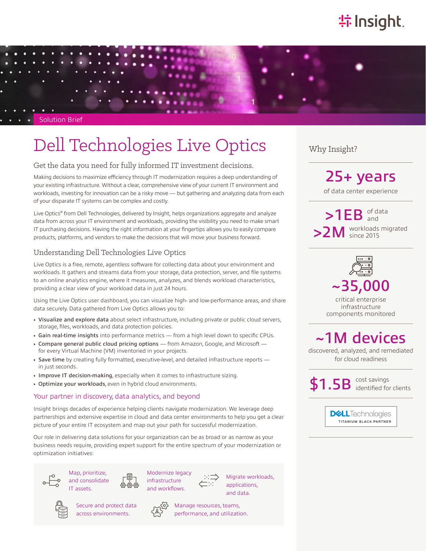# **特Insight**

Solution Brief

# Dell Technologies Live Optics Why Insight?

#### Get the data you need for fully informed IT investment decisions.

Making decisions to maximize efficiency through IT modernization requires a deep understanding of your existing infrastructure. Without a clear, comprehensive view of your current IT environment and workloads, investing for innovation can be a risky move — but gathering and analyzing data from each of your disparate IT systems can be complex and costly.

Live Optics® from Dell Technologies, delivered by Insight, helps organizations aggregate and analyze data from across your IT environment and workloads, providing the visibility you need to make smart IT purchasing decisions. Having the right information at your fingertips allows you to easily compare products, platforms, and vendors to make the decisions that will move your business forward.

#### Understanding Dell Technologies Live Optics

Live Optics is a free, remote, agentless software for collecting data about your environment and workloads. It gathers and streams data from your storage, data protection, server, and file systems to an online analytics engine, where it measures, analyzes, and blends workload characteristics, providing a clear view of your workload data in just 24 hours.

Using the Live Optics user dashboard, you can visualize high- and low-performance areas, and share data securely. Data gathered from Live Optics allows you to:

- Visualize and explore data about select infrastructure, including private or public cloud servers, storage, files, workloads, and data protection policies.
- Gain real-time insights into performance metrics from a high level down to specific CPUs.
- Compare general public cloud pricing options from Amazon, Google, and Microsoft for every Virtual Machine (VM) inventoried in your projects.
- Save time by creating fully formatted, executive-level, and detailed infrastructure reports in just seconds.
- Improve IT decision-making, especially when it comes to infrastructure sizing.
- Optimize your workloads, even in hybrid cloud environments.

#### Your partner in discovery, data analytics, and beyond

Insight brings decades of experience helping clients navigate modernization. We leverage deep partnerships and extensive expertise in cloud and data center environments to help you get a clear picture of your entire IT ecosystem and map out your path for successful modernization.

Our role in delivering data solutions for your organization can be as broad or as narrow as your business needs require, providing expert support for the entire spectrum of your modernization or optimization initiatives:







Modernize legacy infrastructure and workflows.





Secure and protect data across environments.



Manage resources, teams, performance, and utilization.

of data center experience 25+ years

 $>1EB$  of data >2M workloads migrated and since 2015



critical enterprise infrastructure components monitored

## ~1M devices

discovered, analyzed, and remediated for cloud readiness

\$1.5B Cost savings identified for clients

> **DELL**Technologies TITANIUM BLACK PARTNER